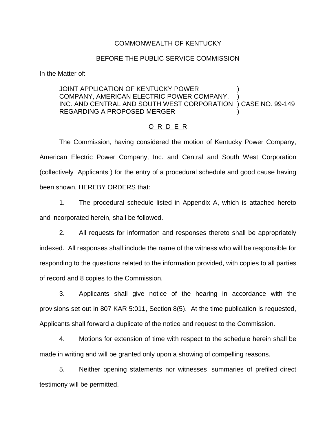#### COMMONWEALTH OF KENTUCKY

#### BEFORE THE PUBLIC SERVICE COMMISSION

In the Matter of:

## JOINT APPLICATION OF KENTUCKY POWER COMPANY, AMERICAN ELECTRIC POWER COMPANY, INC. AND CENTRAL AND SOUTH WEST CORPORATION ) CASE NO. 99-149 REGARDING A PROPOSED MERGER )

## O R D E R

The Commission, having considered the motion of Kentucky Power Company, American Electric Power Company, Inc. and Central and South West Corporation (collectively Applicants ) for the entry of a procedural schedule and good cause having been shown, HEREBY ORDERS that:

1. The procedural schedule listed in Appendix A, which is attached hereto and incorporated herein, shall be followed.

2. All requests for information and responses thereto shall be appropriately indexed. All responses shall include the name of the witness who will be responsible for responding to the questions related to the information provided, with copies to all parties of record and 8 copies to the Commission.

3. Applicants shall give notice of the hearing in accordance with the provisions set out in 807 KAR 5:011, Section 8(5). At the time publication is requested, Applicants shall forward a duplicate of the notice and request to the Commission.

4. Motions for extension of time with respect to the schedule herein shall be made in writing and will be granted only upon a showing of compelling reasons.

5. Neither opening statements nor witnesses summaries of prefiled direct testimony will be permitted.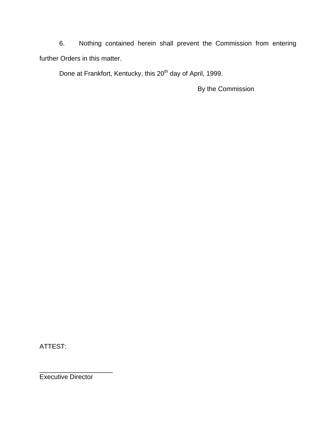6. Nothing contained herein shall prevent the Commission from entering further Orders in this matter.

Done at Frankfort, Kentucky, this 20<sup>th</sup> day of April, 1999.

By the Commission

ATTEST:

\_\_\_\_\_\_\_\_\_\_\_\_\_\_\_\_\_\_\_\_ Executive Director